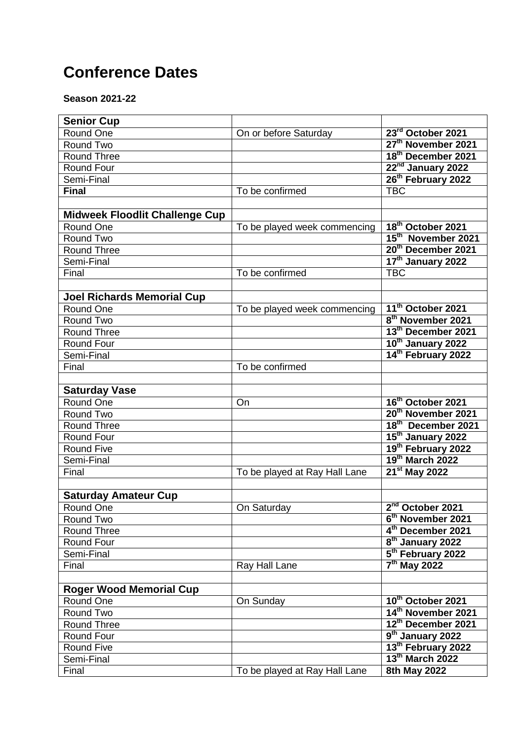## **Conference Dates**

**Season 2021-22**

| <b>Senior Cup</b>                     |                               |                                |
|---------------------------------------|-------------------------------|--------------------------------|
| Round One                             | On or before Saturday         | 23rd October 2021              |
| Round Two                             |                               | 27th November 2021             |
| <b>Round Three</b>                    |                               | 18th December 2021             |
| Round Four                            |                               | 22 <sup>nd</sup> January 2022  |
| Semi-Final                            |                               | 26 <sup>th</sup> February 2022 |
| <b>Final</b>                          | To be confirmed               | <b>TBC</b>                     |
|                                       |                               |                                |
| <b>Midweek Floodlit Challenge Cup</b> |                               |                                |
| Round One                             | To be played week commencing  | 18 <sup>th</sup> October 2021  |
| Round Two                             |                               | 15 <sup>th</sup> November 2021 |
| <b>Round Three</b>                    |                               | 20 <sup>th</sup> December 2021 |
| Semi-Final                            |                               | 17 <sup>th</sup> January 2022  |
| Final                                 | To be confirmed               | <b>TBC</b>                     |
|                                       |                               |                                |
| <b>Joel Richards Memorial Cup</b>     |                               |                                |
| Round One                             | To be played week commencing  | 11 <sup>th</sup> October 2021  |
| Round Two                             |                               | 8 <sup>th</sup> November 2021  |
| <b>Round Three</b>                    |                               | 13 <sup>th</sup> December 2021 |
| Round Four                            |                               | 10 <sup>th</sup> January 2022  |
| Semi-Final                            |                               | 14 <sup>th</sup> February 2022 |
| Final                                 | To be confirmed               |                                |
|                                       |                               |                                |
| <b>Saturday Vase</b>                  |                               |                                |
| Round One                             | On                            | 16th October 2021              |
| Round Two                             |                               | 20 <sup>th</sup> November 2021 |
| <b>Round Three</b>                    |                               | 18th December 2021             |
| Round Four                            |                               | 15 <sup>th</sup> January 2022  |
| <b>Round Five</b>                     |                               | 19 <sup>th</sup> February 2022 |
| Semi-Final                            |                               | 19th March 2022                |
| Final                                 | To be played at Ray Hall Lane | 21 <sup>st</sup> May 2022      |
|                                       |                               |                                |
| <b>Saturday Amateur Cup</b>           |                               |                                |
| Round One                             | On Saturday                   | $2nd$ October 2021             |
| Round Two                             |                               | 6 <sup>th</sup> November 2021  |
| Round Three                           |                               | 4 <sup>th</sup> December 2021  |
| Round Four                            |                               | 8 <sup>th</sup> January 2022   |
| Semi-Final                            |                               | 5 <sup>th</sup> February 2022  |
| Final                                 | Ray Hall Lane                 | $7th$ May 2022                 |
|                                       |                               |                                |
| <b>Roger Wood Memorial Cup</b>        |                               |                                |
| Round One                             | On Sunday                     | 10th October 2021              |
| Round Two                             |                               | 14 <sup>th</sup> November 2021 |
| <b>Round Three</b>                    |                               | 12 <sup>th</sup> December 2021 |
| Round Four                            |                               | 9 <sup>th</sup> January 2022   |
| <b>Round Five</b>                     |                               | 13 <sup>th</sup> February 2022 |
| Semi-Final                            |                               | 13th March 2022                |
| Final                                 | To be played at Ray Hall Lane | 8th May 2022                   |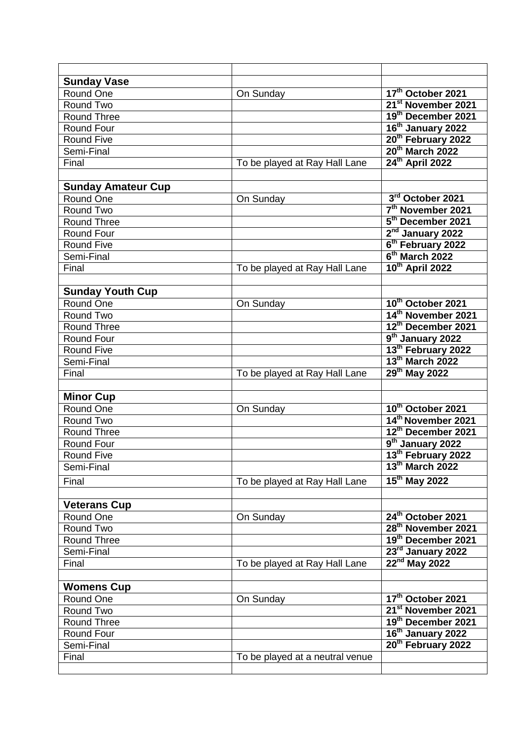| <b>Sunday Vase</b>        |                                 |                                |
|---------------------------|---------------------------------|--------------------------------|
| Round One                 | On Sunday                       | 17th October 2021              |
| Round Two                 |                                 | 21 <sup>st</sup> November 2021 |
| <b>Round Three</b>        |                                 | 19th December 2021             |
| Round Four                |                                 | 16 <sup>th</sup> January 2022  |
| <b>Round Five</b>         |                                 | 20 <sup>th</sup> February 2022 |
| Semi-Final                |                                 | 20th March 2022                |
| Final                     | To be played at Ray Hall Lane   | $24th$ April 2022              |
|                           |                                 |                                |
| <b>Sunday Amateur Cup</b> |                                 |                                |
| Round One                 | On Sunday                       | 3rd October 2021               |
| Round Two                 |                                 | 7 <sup>th</sup> November 2021  |
| <b>Round Three</b>        |                                 | 5 <sup>th</sup> December 2021  |
| Round Four                |                                 | $2nd$ January 2022             |
| <b>Round Five</b>         |                                 | 6 <sup>th</sup> February 2022  |
| Semi-Final                |                                 | $6th$ March 2022               |
| Final                     | To be played at Ray Hall Lane   | 10th April 2022                |
|                           |                                 |                                |
| <b>Sunday Youth Cup</b>   |                                 |                                |
| Round One                 | On Sunday                       | 10th October 2021              |
| Round Two                 |                                 | 14 <sup>th</sup> November 2021 |
| <b>Round Three</b>        |                                 | 12 <sup>th</sup> December 2021 |
| Round Four                |                                 | 9 <sup>th</sup> January 2022   |
| <b>Round Five</b>         |                                 | 13 <sup>th</sup> February 2022 |
| Semi-Final                |                                 | 13th March 2022                |
| Final                     |                                 | 29th May 2022                  |
|                           | To be played at Ray Hall Lane   |                                |
| <b>Minor Cup</b>          |                                 |                                |
| Round One                 |                                 | 10th October 2021              |
| Round Two                 | On Sunday                       | 14 <sup>th</sup> November 2021 |
| <b>Round Three</b>        |                                 | 12 <sup>th</sup> December 2021 |
| Round Four                |                                 | 9 <sup>th</sup> January 2022   |
| <b>Round Five</b>         |                                 | 13 <sup>th</sup> February 2022 |
|                           |                                 | 13th March 2022                |
| Semi-Final                |                                 |                                |
| Final                     | To be played at Ray Hall Lane   | $15th$ May 2022                |
|                           |                                 |                                |
| <b>Veterans Cup</b>       |                                 |                                |
| Round One                 | On Sunday                       | 24th October 2021              |
| Round Two                 |                                 | 28 <sup>th</sup> November 2021 |
| Round Three               |                                 | 19th December 2021             |
| Semi-Final                |                                 | 23rd January 2022              |
| Final                     | To be played at Ray Hall Lane   | $22nd$ May 2022                |
|                           |                                 |                                |
| <b>Womens Cup</b>         |                                 |                                |
| Round One                 | On Sunday                       | 17th October 2021              |
| Round Two                 |                                 | 21 <sup>st</sup> November 2021 |
| Round Three               |                                 | 19th December 2021             |
| Round Four                |                                 | 16 <sup>th</sup> January 2022  |
| Semi-Final                |                                 | 20 <sup>th</sup> February 2022 |
| Final                     | To be played at a neutral venue |                                |
|                           |                                 |                                |